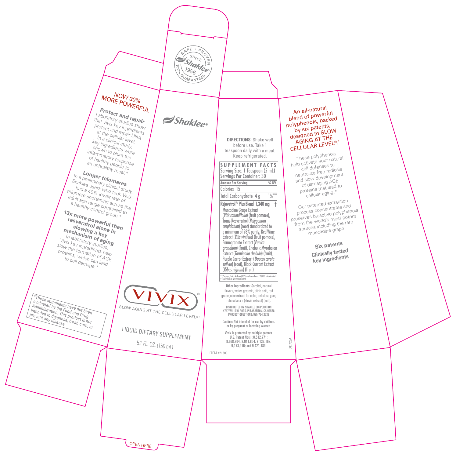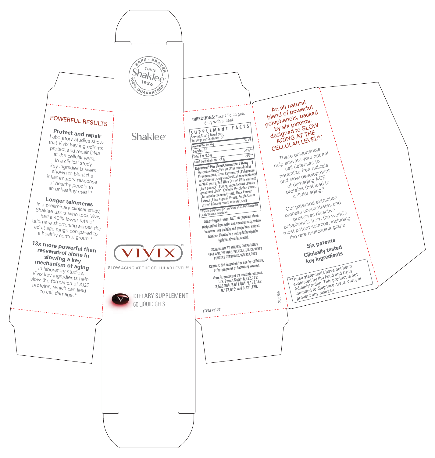